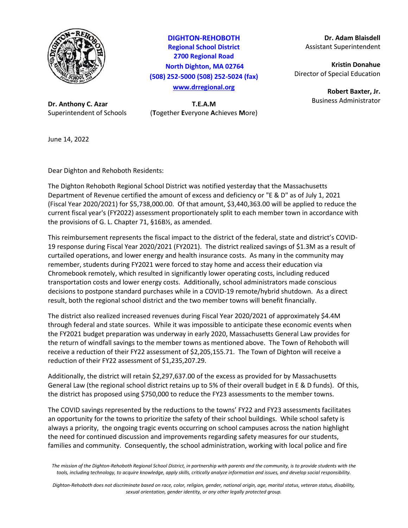

**Dr. Anthony C. Azar T.E.A.M**

**DIGHTON-REHOBOTH Regional School District 2700 Regional Road North Dighton, MA 02764 (508) 252-5000 (508) 252-5024 (fax) [www.drregional.org](http://www.drregional.org/)**

Superintendent of Schools (**T**ogether **E**veryone **A**chieves **M**ore)

**Dr. Adam Blaisdell** Assistant Superintendent

**Kristin Donahue** Director of Special Education

> **Robert Baxter, Jr.** Business Administrator

June 14, 2022

Dear Dighton and Rehoboth Residents:

The Dighton Rehoboth Regional School District was notified yesterday that the Massachusetts Department of Revenue certified the amount of excess and deficiency or "E & D" as of July 1, 2021 (Fiscal Year 2020/2021) for \$5,738,000.00. Of that amount, \$3,440,363.00 will be applied to reduce the current fiscal year's (FY2022) assessment proportionately split to each member town in accordance with the provisions of G. L. Chapter 71, §16B½, as amended.

This reimbursement represents the fiscal impact to the district of the federal, state and district's COVID-19 response during Fiscal Year 2020/2021 (FY2021). The district realized savings of \$1.3M as a result of curtailed operations, and lower energy and health insurance costs. As many in the community may remember, students during FY2021 were forced to stay home and access their education via Chromebook remotely, which resulted in significantly lower operating costs, including reduced transportation costs and lower energy costs. Additionally, school administrators made conscious decisions to postpone standard purchases while in a COVID-19 remote/hybrid shutdown. As a direct result, both the regional school district and the two member towns will benefit financially.

The district also realized increased revenues during Fiscal Year 2020/2021 of approximately \$4.4M through federal and state sources. While it was impossible to anticipate these economic events when the FY2021 budget preparation was underway in early 2020, Massachusetts General Law provides for the return of windfall savings to the member towns as mentioned above. The Town of Rehoboth will receive a reduction of their FY22 assessment of \$2,205,155.71. The Town of Dighton will receive a reduction of their FY22 assessment of \$1,235,207.29.

Additionally, the district will retain \$2,297,637.00 of the excess as provided for by Massachusetts General Law (the regional school district retains up to 5% of their overall budget in E & D funds). Of this, the district has proposed using \$750,000 to reduce the FY23 assessments to the member towns.

The COVID savings represented by the reductions to the towns' FY22 and FY23 assessments facilitates an opportunity for the towns to prioritize the safety of their school buildings. While school safety is always a priority, the ongoing tragic events occurring on school campuses across the nation highlight the need for continued discussion and improvements regarding safety measures for our students, families and community. Consequently, the school administration, working with local police and fire

*Dighton-Rehoboth does not discriminate based on race, color, religion, gender, national origin, age, marital status, veteran status, disability, sexual orientation, gender identity, or any other legally protected group.*

*The mission of the Dighton-Rehoboth Regional School District, in partnership with parents and the community, is to provide students with the tools, including technology, to acquire knowledge, apply skills, critically analyze information and issues, and develop social responsibility.*